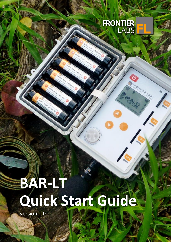

## **BAR-LT Quick Start Guide**

Version 1.0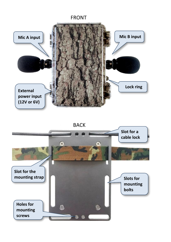FRONT



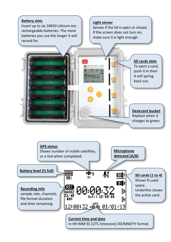

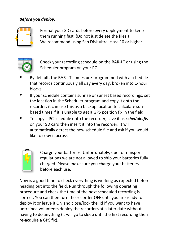## *Before you deploy:*



Format your SD cards before every deployment to keep them running fast. (Do not just delete the files.) We recommend using San Disk ultra, class 10 or higher.



Check your recording schedule on the BAR-LT or using the Scheduler program on your PC.

- By default, the BAR-LT comes pre-programmed with a schedule that records continuously all day every day, broken into 1-hour blocks.
- If your schedule contains sunrise or sunset based recordings, set the location in the Scheduler program and copy it onto the recorder, it can use this as a backup location to calculate sunbased times if it is unable to get a GPS position fix in the field.
- To copy a PC schedule onto the recorder, save it as *schedule.fls* on your SD card then insert it into the recorder. It will automatically detect the new schedule file and ask if you would like to copy it across.



Charge your batteries. Unfortunately, due to transport regulations we are not allowed to ship your batteries fully charged. Please make sure you charge your batteries before each use.

Now is a good time to check everything is working as expected before heading out into the field. Run through the following operating procedure and check the time of the next scheduled recording is correct. You can then turn the recorder OFF until you are ready to deploy it or leave it ON and close/lock the lid if you want to have untrained volunteers deploy the recorders at a later date without having to do anything (it will go to sleep until the first recording then re-acquire a GPS fix).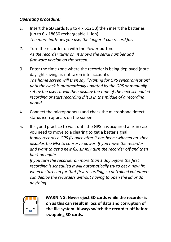## *Operating procedure:*

- *1.* Insert the SD cards (up to 4 x 512GB) then insert the batteries (up to 6 x 18650 rechargeable Li-ion). *The more batteries you use, the longer it can record for.*
- *2.* Turn the recorder on with the Power button. *As the recorder turns on, it shows the serial number and firmware version on the screen.*
- *3.* Enter the time zone where the recorder is being deployed (note daylight savings is not taken into account). *The home screen will then say "Waiting for GPS synchronisation" until the clock is automatically updated by the GPS or manually set by the user. It will then display the time of the next scheduled recording or start recording if it is in the middle of a recording period.*
- 4. Connect the microphone(s) and check the microphone detect status icon appears on the screen.
- 5. It's good practice to wait until the GPS has acquired a fix in case you need to move to a clearing to get a better signal. *It only records a GPS fix once after it has been switched on, then disables the GPS to conserve power. If you move the recorder and want to get a new fix, simply turn the recorder off and then back on again.*

*If you turn the recorder on more than 1 day before the first recording is scheduled it will automatically try to get a new fix when it starts up for that first recording, so untrained volunteers can deploy the recorders without having to open the lid or do anything.*



**WARNING: Never eject SD cards while the recorder is on as this can result in loss of data and corruption of the file system. Always switch the recorder off before swapping SD cards.**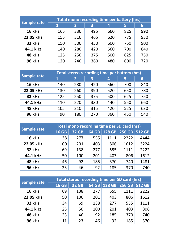| Sample rate | Total mono recording time per battery (hrs) |                         |     |     |     |     |
|-------------|---------------------------------------------|-------------------------|-----|-----|-----|-----|
|             | 1                                           | $\overline{\mathbf{z}}$ | з   | 4   | 5   | 6   |
| 16 kHz      | 165                                         | 330                     | 495 | 660 | 825 | 990 |
| 22.05 kHz   | 155                                         | 310                     | 465 | 620 | 775 | 930 |
| 32 kHz      | 150                                         | 300                     | 450 | 600 | 750 | 900 |
| 44.1 kHz    | 140                                         | 280                     | 420 | 560 | 700 | 840 |
| 48 kHz      | 125                                         | 250                     | 375 | 500 | 625 | 750 |
| 96 kHz      | 120                                         | 240                     | 360 | 480 | 600 | 720 |

| Sample rate | Total stereo recording time per battery (hrs) |     |     |     |     |     |
|-------------|-----------------------------------------------|-----|-----|-----|-----|-----|
|             | 1                                             | 2   | 3   | 4   | 5   | 6   |
| 16 kHz      | 140                                           | 280 | 420 | 560 | 700 | 840 |
| 22.05 kHz   | 130                                           | 260 | 390 | 520 | 650 | 780 |
| 32 kHz      | 125                                           | 250 | 375 | 500 | 625 | 750 |
| 44.1 kHz    | 110                                           | 220 | 330 | 440 | 550 | 660 |
| 48 kHz      | 105                                           | 210 | 315 | 420 | 525 | 630 |
| 96 kHz      | 90                                            | 180 | 270 | 360 | 450 | 540 |

| Sample rate | Total mono recording time per SD card (hrs) |              |       |      |               |        |
|-------------|---------------------------------------------|--------------|-------|------|---------------|--------|
|             | <b>16 GB</b>                                | <b>32 GB</b> | 64 GB |      | 128 GB 256 GB | 512 GB |
| 16 kHz      | 138                                         | 277          | 555   | 1111 | 2222          | 4444   |
| 22.05 kHz   | 100                                         | 201          | 403   | 806  | 1612          | 3224   |
| 32 kHz      | 69                                          | 138          | 277   | 555  | 1111          | 2222   |
| 44.1 kHz    | 50                                          | 100          | 201   | 403  | 806           | 1612   |
| 48 kHz      | 46                                          | 92           | 185   | 370  | 740           | 1481   |
| 96 kHz      | 23                                          | 46           | 92    | 185  | 370           | 740    |

| <b>Sample rate</b> | Total stereo recording time per SD card (hrs) |       |     |     |                                  |      |
|--------------------|-----------------------------------------------|-------|-----|-----|----------------------------------|------|
|                    | <b>16 GB</b>                                  | 32 GB |     |     | 64 GB   128 GB   256 GB   512 GB |      |
| 16 kHz             | 69                                            | 138   | 277 | 555 | 1111                             | 2222 |
| 22.05 kHz          | 50                                            | 100   | 201 | 403 | 806                              | 1612 |
| 32 kHz             | 34                                            | 69    | 138 | 277 | 555                              | 1111 |
| 44.1 kHz           | 25                                            | 50    | 100 | 201 | 403                              | 806  |
| 48 kHz             | 23                                            | 46    | 92  | 185 | 370                              | 740  |
| 96 kHz             | 11                                            | 23    | 46  | 92  | 185                              | 370  |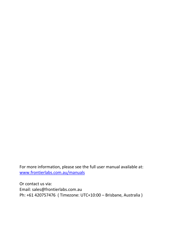For more information, please see the full user manual available at: [www.frontierlabs.com.au/](http://www.frontierlabs.com.au/)manuals

Or contact us via: Email: sales@frontierlabs.com.au Ph: +61 420757476 ( Timezone: UTC+10:00 – Brisbane, Australia )